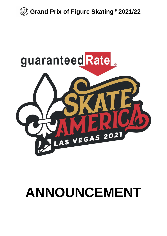



# **ANNOUNCEMENT**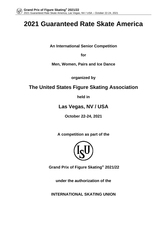

## **2021 Guaranteed Rate Skate America**

**An International Senior Competition** 

**for** 

**Men, Women, Pairs and Ice Dance**

**organized by** 

## **The United States Figure Skating Association**

**held in**

## **Las Vegas, NV / USA**

**October 22-24, 2021**

**A competition as part of the**



**Grand Prix of Figure Skating® 2021/22**

**under the authorization of the** 

**INTERNATIONAL SKATING UNION**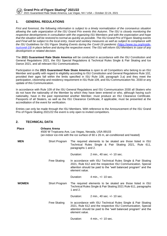#### **1. GENERAL REGULATIONS**

*First and foremost, the following information is subject to a timely normalization of the coronavirus situation allowing the safe organization of the ISU Grand Prix events this Autumn. The ISU is closely monitoring the respective developments in consultation with the organizing ISU Members and with the expectation and hope that the situation will be restored to normal as quickly as possible. The ISU Grand Prix of Figure Skating events and Final will be subject to the local entry, travel and sanitary measures as well as subject to compliance with*  the ISU Guidelines for ISU Figure Skating Events during the Covid-19 pandemic [\(https://www.isu.org/inside](https://www.isu.org/inside-isu/covid-19)*[isu/covid-19\)](https://www.isu.org/inside-isu/covid-19) in place before and during the respective event. The ISU will inform ISU Members in case of any development or related decision.*

The **2021 Guaranteed Rate Skate America** will be conducted in accordance with the ISU Constitution and General Regulations 2021, the ISU Special Regulations & Technical Rules Single & Pair Skating and Ice Dance 2021, and all relevant ISU Communications.

Participation in the **2021 Guaranteed Rate Skate America** is open to all Competitors who belong to an ISU Member and qualify with regard to eligibility according to ISU Constitution and General Regulations Rule 102, provided their ages fall within the limits specified in ISU Rule 108, paragraph 3.a) and they meet the participation, citizenship and residency requirement in ISU Rule 109, and ISU Communication No. 2030 or any update of this Communication.

In accordance with Rule 109 of the ISU General Regulations and ISU Communication 2030 all Skaters who do not have the nationality of the Member by which they have been entered or who, although having such nationality, have in the past represented another Member, must produce an ISU Clearance Certificate. Passports of all Skaters, as well as the ISU Clearance Certificate, if applicable, must be presented at the accreditation of the event for verification.

Entries can only be made through the ISU Members. With reference to the Announcement of the ISU Grand Prix of Figure Skating 2021/22 the event is only open to invited competitors.

#### **2. TECHNICAL DATA**

| <b>Place</b> | <b>Orleans Arena</b> | 4500 W Tropicana Ave, Las Vegas, Nevada, USA 89103<br>(an indoor ice-rink with the ice surface of $60 \times 26$ m, air-conditioned and heated)                                                                   |                                                                                                                                                                                                 |
|--------------|----------------------|-------------------------------------------------------------------------------------------------------------------------------------------------------------------------------------------------------------------|-------------------------------------------------------------------------------------------------------------------------------------------------------------------------------------------------|
| <b>MEN</b>   | Short Program        | paragraphs 1 and 2.                                                                                                                                                                                               | The required elements to be skated are those listed in ISU<br>Technical Rules Single & Pair Skating 2021, Rule 611,                                                                             |
|              |                      | Duration:                                                                                                                                                                                                         | 2 min., 40 sec. +/- 10 sec.                                                                                                                                                                     |
|              | <b>Free Skating</b>  | element value.                                                                                                                                                                                                    | In accordance with ISU Technical Rules Single & Pair Skating<br>2021, Rule 612 and the respective ISU Communication. Special<br>attention should be paid to the "well balanced program" and the |
|              |                      | Duration:                                                                                                                                                                                                         | 4 min., +/- 10 sec.                                                                                                                                                                             |
| <b>WOMEN</b> | Short Program        | 1 and 2.                                                                                                                                                                                                          | The required elements to be skated are those listed in ISU<br>Technical Rules Single & Pair Skating 2021 Rule 611, paragraphs                                                                   |
|              |                      | Duration:                                                                                                                                                                                                         | 2 min., 40 sec. +/- 10 sec.                                                                                                                                                                     |
|              | Free Skating         | In accordance with ISU Technical Rules Single & Pair Skating<br>2021, Rule 612 and the respective ISU Communication. Special<br>attention should be paid to the "well balanced program" and the<br>element value. |                                                                                                                                                                                                 |
|              |                      | Duration:                                                                                                                                                                                                         | 4 min., +/- 10 sec.                                                                                                                                                                             |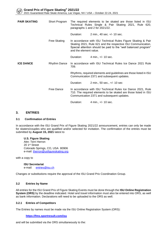| <b>PAIR SKATING</b> | Short Program       |                        | The required elements to be skated are those listed in ISU<br>Technical Rules Single & Pair Skating 2021, Rule 620,<br>paragraphs 1 and 2 for 2021/22.                                          |
|---------------------|---------------------|------------------------|-------------------------------------------------------------------------------------------------------------------------------------------------------------------------------------------------|
|                     |                     | Duration:              | 2 min., 40 sec. +/- 10 sec.                                                                                                                                                                     |
|                     | <b>Free Skating</b> | and the element value. | In accordance with ISU Technical Rules Figure Skating & Pair<br>Skating 2021, Rule 621 and the respective ISU Communication.<br>Special attention should be paid to the "well balanced program" |
|                     |                     | Duration:              | 4 min., +/- 10 sec.                                                                                                                                                                             |
| <b>ICE DANCE</b>    | <b>Rhythm Dance</b> | 709.                   | In accordance with ISU Technical Rules Ice Dance 2021 Rule                                                                                                                                      |
|                     |                     |                        | Rhythms, required elements and guidelines are those listed in ISU<br>Communication 2371 and subsequent updates.                                                                                 |
|                     |                     | Duration:              | 2 min., 50 sec., +/- 10 sec                                                                                                                                                                     |
|                     | Free Dance          |                        | In accordance with ISU Technical Rules Ice Dance 2021, Rule<br>710. The required elements to be skated are those listed in ISU<br>Communication 2371 and subsequent updates.                    |
|                     |                     | Duration:              | 4 min., +/- 10 sec.                                                                                                                                                                             |

#### **3. ENTRIES**

#### **3.1 Confirmation of Entries**

In accordance with the ISU Grand Prix of Figure Skating 2021/22 announcement, entries can only be made for skaters/couples who are qualified and/or selected for invitation. The confirmation of the entries must be submitted by **August 15, 2021** latest to

#### **U.S. Figure Skating**

Attn: Terri Herron 20 1st Street Colorado Springs, CO, USA 80906 e-mail: [therron@usfigureskating.org](mailto:therron@usfigureskating.org)

with a copy to

**ISU Secretariat**

e-mail: [entries@isu.ch](mailto:entries@isu.ch)

Changes or substitutions require the approval of the ISU Grand Prix Coordination Group.

#### **3.2 Entries by Name**

All entries for the ISU Grand Prix of Figure Skating Events must be done through the **ISU Online Registration System (ORS)** by the deadline indicated. Hotel and travel information must also be entered into ORS, as well as bank information. Declarations will need to be uploaded to the ORS as well.

#### **3.2.1 Entries of Competitors**

The Entries by names must be made via the ISU Online Registration System (ORS):

#### **<https://fms.sportresult.com/isu>**

and will be submitted via the ORS simultaneously to the: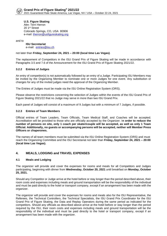**U.S. Figure Skating** Attn: Terri Herron 20 1st Street Colorado Springs, CO, USA 80906 e-mail: [therron@usfigureskating.org](mailto:therron@usfigureskating.org)

and to

**ISU Secretariat** e-mail: [entries@isu.ch](mailto:entries@isu.ch)

#### not later than **Friday, September 24, 2021 – 20:00 (local time Las Vegas)**.

The replacement of Competitors in the ISU Grand Prix of Figure Skating will be made in accordance with Paragraphs 3.5 and 7.6 of the Announcement for the ISU Grand Prix of Figure Skating 2021/22.

#### **3.2.2 Entries of Judges**

An entry of competitor(s) is not automatically followed by an entry of a Judge. Participating ISU Members may be invited by the Organizing Member to nominate one or more Judges for one event. Any substitution or changes for any of the invited judges need the approval of the Organizing Member.

The Entries of Judges must be made via the ISU Online Registration System (ORS).

Please observe the restrictions concerning the selection of Judges within the events of the ISU Grand Prix of Figure Skating 2021/22 that no Judge may serve in more than two ISU Grand Prix.

Each panel of Judges will consist of a maximum of 9 Judges but with a minimum of 7 Judges, if possible.

#### **3.2.3 Entries of Team Members**

Official entries of Team Leaders, Team Officials, Team Medical Staff, and Coaches will be accepted. Accreditation will be provided to those who are officially accepted by the Organizer. I**n order to reduce the number of persons on site, only 1 coach per skater/couple will be accepted, as well as only 1 Team Official. Additionally, no guests or accompanying persons will be accepted, neither will Member Press Officers or chaperones.**

The names of all team members must be submitted via the ISU Online Registration System (ORS) and must reach the Organizing Committee and the ISU Secretariat not later than **Friday, September 24, 2021 – 20:00 (local time Las Vegas).**

#### **4. MEALS, LODGING and TRAVEL EXPENSES**

#### **4.1 Meals and Lodging**

The organizer will provide and cover the expenses for rooms and meals for all Competitors and Judges participating, beginning with dinner from **Wednesday, October 20, 2021** until breakfast on **Monday, October 25, 2021.**

Should any Competitor or Judge arrive at the hotel before or stay longer than the period described above, their room costs and expenses including meals and ground transportation will be the responsibility of the individual and must be paid directly to the hotel or transport company, except if an arrangement has been made with the organizer.

The organizer will provide and cover the expenses for rooms and meals also for the ISU Representative, the Referees, the Technical Controllers, the Technical Specialists, the ISU Grand Prix Coordinator for the ISU Grand Prix of Figure Skating, the Data and Replay Operators during the same period as indicated for the competitors. Should any officials as described above arrive at the hotel before or stay longer than the period required by the ISU, their room costs and expenses including meals and ground transportation will be the responsibility of the individual and must be paid directly to the hotel or transport company, except if an arrangement has been made with the organizer.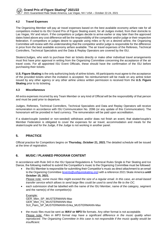

#### **4.2 Travel Expenses**

The Organizing Member will pay air travel expenses based on the best available economy airfare rate for all competitors invited to its ISU Grand Prix of Figure Skating event, for all Judges invited, from their domicile to Las Vegas, NV and return. If the competitors or judges decide to arrive earlier or stay later than the approved dates listed above any cost difference will be the responsibility of the competitor and/or judge or their respective federation. If competitors or judges desire to upgrade using miles or fly on a desired airline, the Organizing Committee will review with the understanding that the competitor and/or judge is responsible for the difference in price from the best available economy airfare available. The air travel expenses of the Referees, Technical Controllers, Technical Specialists and the Data & Replay Operators are covered by the ISU.

Skaters/Judges, who wish to purchase their air tickets directly or make other individual travel arrangements must first have prior approval in writing from the Organizing Committee concerning the acceptance of the air travel costs. For all appointed ISU Event Officials, these should have the confirmation of the ISU before purchasing their tickets.

**U.S. Figure Skating** is the only authorizing body of airline tickets. All participants must agree to the acceptance of the provided tickets when the invitation is accepted. No reimbursement will be made on any airline ticket issued by any other agency or any other airline unless written permission is received from the **U.S. Figure Skating** prior to its ticketing.

#### **4.3 Miscellaneous**

All extra expenses incurred by any Team Member or any kind of Official will be the responsibility of that person and must be paid prior to departure.

Judges, Referees, Technical Controllers, Technical Specialists and Data and Replay Operators will receive remuneration in accordance with ISU Communication No. 2096 (or any update of this Communication). The honorarium will be provided in hard currency. The remuneration will be paid upon accreditation.

If a skater/couple (seeded or non-seeded) withdraws and/or does not finish an event, that skater/couple's Member Federation is obligated to cover the expenses for air travel, accommodation and meals for the skater/couple and for the Judge, if the Judge is not working in another panel.

#### **5. PRACTICE**

Official practice for Competitors begins on **Thursday, October 21, 2021**.The detailed schedule will be issued at the time of registration.

#### **6. MUSIC / PLANNED PROGRAM CONTENT**

In accordance with Rule 343 in the ISU Special Regulations & Technical Rules Single & Pair Skating and Ice Dance, the following method to submit the Competitor's music to the Organizing Committee must be followed:

• the ISU Member is responsible for submitting their Competitor's music as direct attachment to an email to the Organizing Committee [\(events@usfigureskating.org\)](mailto:events@usfigureskating.org) with a reference 2021 Skate America **until October 15, 2021**.

Please note: *some music files might exceed the size of a regular email. In this case, an email-based transfer service which allows to send large files could be used to send the file to the OC.*

• each submission shall be labelled with the name of the ISU Member, name of the category, segment and the name(s) of the competitor(s):

Example: GER Men SP MUSTERMANN-Max GER\_Men\_FS\_MUSTERMANN-Max SUI\_Pairs\_SP\_MUSTERMANN-Erika\_MUSTERMANN-Max

• the music files must be sent as **WAV or MP3** file formats. Any other format is not acceptable. Please note: *Files in MP3 format may have a significant difference in the music quality when reproduced. The Organizing Committee in this case is not responsible if the music quality would be insufficient.*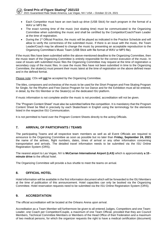- Each Competitor must have an own back-up drive (USB Stick) for each program in the format of a WAV or MP3 file.
- The exact running time of the music (not skating time) must be communicated to the Organizing Committee when submitting the music and shall be certified by the Competitor/Coach/Team Leader at the time of registration.
- During the 1<sup>st</sup> Official Practice, the music will be played as indicated in the Practice Schedule and will allow to verify the correctness of the submitted music. If there is an issue with the music, the Team Leader/Coach may be allowed to change the music by presenting an acceptable reproduction to the Organizing Committee's Music Team (USB Stick with file format of WAV or MP3 file).

If the music files have been submitted within the above-mentioned deadline to the Organizing Committee, then the music team of the Organizing Committee is entirely responsible for the correct execution of the music. In case of issues with submitted music files the Organizing Committee may request at the time of registration a secondary copy of the music files. In case the music files have not been submitted in time to the Organizing Committee, the skater(s) must present their music latest at the time of registration on the above defined mean and in the defined format.

Please note: CDs will **not** be accepted by the Organizing Committee.

The titles, composers and orchestras of the music to be used for the Short Program and Free Skating Program for Single, for the Rhythm and Free Dance Program for Ice Dance and for the Exhibition must all be entered, in detail, by the ISU Member or the Skater(s) on the dedicated ISU platform.

If music information is not complete and/or the music is not provided, accreditation will not be given.

The "Program Content Sheet" must also be submitted before the competition. It is mandatory that the Program Content Sheet be filled in precisely by each Skater/team in English using the terminology for the elements listed in the respective ISU Communication.

It is not permitted to hand over the Program Content Sheets directly to the acting Officials.

#### **7. ARRIVAL OF PARTICIPANTS / TEAMS**

The participating Teams and all respective team members as well as all Event Officials are required to announce to the Organizing Committee as soon as possible but no later than **Friday, September 24, 2021** the name of the airlines, flight numbers, dates, times of arrival or any other information concerning transportation and arrivals. The detailed travel information needs to be submitted via the ISU Online Registration System (ORS).

The nearest airport to Las Vegas, NV is **McCarran International Airport (LAS)** which is approximately **a 15 minute drive** to the official hotel.

The Organizing Committee will provide a bus shuttle to meet the teams on arrival.

#### **8. OFFICIAL HOTEL**

Hotel information will be available in the first information document which will be forwarded to the ISU Members at the time of publication of this announcement. Hotel capacities can only be booked via the Organizing Committee. Hotel reservation requests need to be submitted via the ISU Online Registration System (ORS).

#### **9. ACCREDITATION**

The official accreditation will be located at the Orleans Arena upon arrival.

Accreditation as a Team Member will furthermore be given to all entered Judges, Competitors and one Team-Leader, one Coach per Competitor/Couple, a maximum of one Team Official, provided that they are Council Members, Technical Committee Members or Members of the Head Office of their Federation and a maximum of two medical persons, for which the organizer requests the right to have a medical certification (document)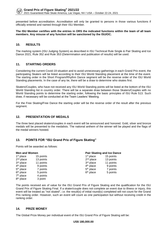presented before accreditation. Accreditation will only be granted to persons in those various functions if officially entered and named through their ISU Member.

#### **The ISU Member certifies with the entries in ORS the indicated functions within the team of all team members. Any misuse of any function will be sanctioned by the ISU/OC.**

#### **10. RESULTS**

The marking system (ISU Judging System) as described in ISU Technical Rule Single & Pair Skating and Ice Dance 2021, Rule 352 and Rule 353 (Determination and publication of results) will be used.

#### **11. STARTING ORDERS**

Considering the current Covid-19 situation and to avoid unnecessary gatherings in each Grand Prix event, the participating Skaters will be listed according to their ISU World Standing placement at the time of the event. The starting order in the Short Program/Rhythm Dance segment will be the reverse order of the ISU World Standing placements. In the case of any tie, there will be a draw to determine who skates first.

Skaters/Couples, who have not received any ISU World Standing points will be listed at the bottom of the ISU World Standing list in country order. There will be a separate draw between those Skaters/Couples with no World Standing points to determine the starting order, following the basic principles of ISU Rule 513. Such draw, if necessary will be conducted at the Team Leaders' Meeting.

For the Free Skating/Free Dance the starting order will be the reverse order of the result after the previous segment.

#### **12. PRESENTATION OF MEDALS**

The three best placed skaters/couples in each event will be announced and honored. Gold, silver and bronze medals will be presented to the medalists. The national anthem of the winner will be played and the flags of the medal winners hoisted.

#### **13. POINTS FOR "ISU Grand Prix of Figure Skating"**

Points will be awarded as follows:

| <b>Men and Women</b>  |           |                       | <b>Pair Skating and Ice Dance</b> |  |
|-----------------------|-----------|-----------------------|-----------------------------------|--|
| $1st$ place           | 15 points | $1st$ place           | 15 points                         |  |
| $2nd$ place           | 13 points | $2nd$ place           | 13 points                         |  |
| 3rd place             | 11 points | 3rd place             | 11 points                         |  |
| $4th$ place           | 9 points  | $4th$ place           | 9 points                          |  |
| $5th$ place           | 7 points  | $5th$ place           | 7 points                          |  |
| $6th$ place           | 5 points  | 6 <sup>th</sup> place | 5 points                          |  |
| $7th$ place           | 4 points  |                       |                                   |  |
| 8 <sup>th</sup> place | 3 point   |                       |                                   |  |

The points received are of value for the ISU Grand Prix of Figure Skating and the qualification for the ISU Grand Prix of Figure Skating Final. If a skater/couple does not complete an event due to illness or injury, this event will be treated as "not skated", i.e. the result(s) of initial round(s) completed will not count for the Grand Prix ranking order. However, such an event will count as one participation but without receiving credit in the ranking order.

#### **14. PRIZE MONEY**

The Global Prize Money per individual event of the ISU Grand Prix of Figure Skating will be: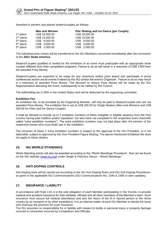Awarded to winners and placed skaters/couples as follows:

|              | <b>Men and Women</b> | Pair Skating and Ice Dance (per Couple) |
|--------------|----------------------|-----------------------------------------|
| $1st$ place: | US\$ 18,000.00       | US\$ 18,000.00                          |
| $2nd$ place: | US\$ 13,000.00       | US\$ 13,000.00                          |
| $3rd$ place: | US\$ 9.000.00        | US\$ 9.000.00                           |
| $4th$ place: | US\$ 3,000.00        | US\$ 3,000.00                           |
| $5th$ place: | US\$ 2,000.00        | US\$ 2,000.00                           |

The individual prize money will be transferred to the ISU Members concerned immediately after the conclusion of the **2021 Skate America.** 

Skaters/Couples qualified or invited for the exhibition of an event must participate with an appropriate show number different from their competition programs. Failure to do so will result in a reduction of US\$ 3'000 from the awarded Prize Money.

Skaters/Couples are expected to be ready for any ceremony and/or prize award and participate in press conferences and/or social events if asked by the ISU and/or the event's Organizer. Failure to do so may result in a reduction of awarded Prize Money. The decision to reduce Prize Money will be made by the ISU Representative attending the event, subsequently to be ratified by the Council.

The withholding tax is 30% in the United States and will be deducted by the organizing committee.

#### **Exhibition Fee**

An exhibition fee, to be provided by the Organizing Member, will only be paid to Skates/Couples who are not awarded Prize Money. The exhibition fee is set at US\$ 200.00 for Single Skaters (Men and Women) and US\$ 300.00 for Pairs and Ice Dance Couples.

It shall be allowed to include up to 2 exhibition numbers of either ineligible or eligible skater(s) from the host country having past tradition and/or reputation, but who have not competed in the respective event (herewith called "extra exhibition numbers"). The extra exhibition numbers may not take place after the winners of the respective events who must skate last in the exhibition.

The inclusion of these 2 extra exhibition numbers is subject to the approval of the ISU President, or if not attainable, subject to approval by the Vice President Figure Skating. The above-mentioned Exhibition fee does not apply to these skaters.

#### **15. ISU WORLD STANDINGS**

World Standing points will also be awarded according to the "World Standings Procedure", that can be found on the ISU website [\(www.isu.org\)](http://www.isu.org/) under Single & Pairs/Ice Dance – World Standings."

#### **16. ANTI-DOPING CONTROLS**

Anti-Doping tests will be carried out according to the ISU Anti-Doping Rules and ISU Anti-Doping Procedures, as given in the applicable ISU Communications (ISU Communications No. 2344 & 2366 or later updates).

#### **17. INSURANCE / LIABILITY**

In accordance with Rule 119, it is the sole obligation of each Member participating in ISU Events, to provide medical and accident insurance for their athletes, officials and all other members of the Member's team. Such insurance must assure full medical attendance and also the return of the ill or injured person to the home country by air transport or by other expeditious. It is an internal matter of each ISU Member to decide the issue who shall pay the premium for such insurance.

The ISU assumes no responsibility for or liability with respect to bodily or personal injury or property damage incurred in connection incurred by Competitors and Officials.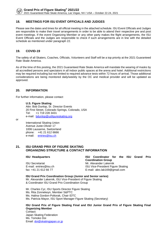#### **18. MEETINGS FOR ISU EVENT OFFICIALS AND JUDGES**

Please see the dates and times for all official meeting in the attached schedule. ISU Event Officials and Judges are responsible to make their travel arrangements in order to be able to attend their respective pre and post event meetings. If the event Organizing Member or any other party makes the flight arrangements, the ISU Event Officials and the Judges are responsible to check if such arrangements are in line with the detailed schedule as mentioned under paragraph 22.

#### **19. COVID-19**

The safety of all Skaters, Coaches, Officials, Volunteers and Staff will be a top priority at the 2021 Guaranteed Rate Skate America.

As of the time of this posting, the 2021 Guaranteed Rate Skate America will mandate the wearing of masks by all accredited persons and spectators in all indoor public spaces at the arena and hotel. Additional restrictions may be required including but not limited to required advance tests within 72 hours of arrival. Those additional considerations are being monitored daily/weekly by the OC and medical provider and will be updated as approved.

#### **20. INFORMATION**

For further information, please contact

**U.S. Figure Skating** Attn: Bob Dunlop, Sr. Director Events 20 First Street, Colorado Springs, Colorado, USA Tel: +1 719 228 3431 e-mail: [bdunlop@usfigureskating.org](mailto:bdunlop@usfigureskating.org)

or

International Skating Union Avenue Juste-Olivier 17 1006 Lausanne, Switzerland phone: +41 21 612 6666 e-mail: [entries@isu.ch](mailto:entries@isu.ch)

#### **21. ISU GRAND PRIX OF FIGURE SKATING ORGANIZING STRUCTURE & CONTACT INFORMATION**

**ISU Headquarters ISU Coordinator for the ISU Grand Prix Coordination Group**  ISU Secretariat Mr. Alexander Lakernik E-mail: entries@isu.ch ISU Vice-President Figure Skating fax: +41 21 612 66 77 E-mail: alex.lak169@gmail.com

**ISU Grand Prix Coordination Group (Junior and Senior series)**

Mr. Alexander Lakernik, ISU Vice-President of Figure Skating

& Coordinator ISU Grand Prix Coordination Group

Mr. Charles Cyr, ISU Sports Director Figure Skating Ms. Rita Zonnekeyn, Member S&PTC Ms. Halina Gordon-Poltorak, Chair IDTC Ms. Patricia Mayor, ISU Sport Manager Figure Skating (Secretary)

#### **ISU Grand Prix of Figure Skating Final and ISU Junior Grand Prix of Figure Skating Final Organizing Member**

Contact: Japan Skating Federation Ms. Tomoko Doi Email: [doi@skatingjapan.or.jp](mailto:doi@skatingjapan.or.jp)